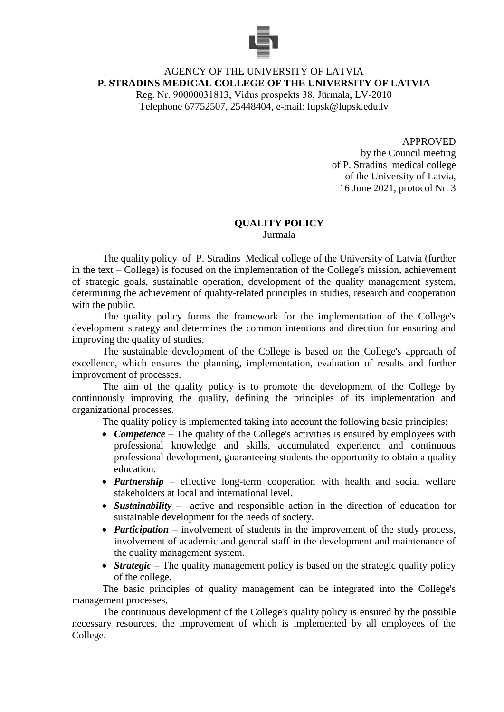

## AGENCY OF THE UNIVERSITY OF LATVIA **P. STRADINS MEDICAL COLLEGE OF THE UNIVERSITY OF LATVIA** Reg. Nr. 90000031813, Vidus prospekts 38, Jūrmala, LV-2010 Telephone 67752507, 25448404, e-mail: lupsk@lupsk.edu.lv

\_\_\_\_\_\_\_\_\_\_\_\_\_\_\_\_\_\_\_\_\_\_\_\_\_\_\_\_\_\_\_\_\_\_\_\_\_\_\_\_\_\_\_\_\_\_\_\_\_\_\_\_\_\_\_\_\_\_\_\_\_\_\_\_\_\_\_\_\_\_\_\_\_\_\_

APPROVED

by the Council meeting of P. Stradins medical college of the University of Latvia, 16 June 2021, protocol Nr. 3

## **QUALITY POLICY**

Jurmala

The quality policy of P. Stradins Medical college of the University of Latvia (further in the text – College) is focused on the implementation of the College's mission, achievement of strategic goals, sustainable operation, development of the quality management system, determining the achievement of quality-related principles in studies, research and cooperation with the public.

The quality policy forms the framework for the implementation of the College's development strategy and determines the common intentions and direction for ensuring and improving the quality of studies.

The sustainable development of the College is based on the College's approach of excellence, which ensures the planning, implementation, evaluation of results and further improvement of processes.

The aim of the quality policy is to promote the development of the College by continuously improving the quality, defining the principles of its implementation and organizational processes.

The quality policy is implemented taking into account the following basic principles:

- **Competence** The quality of the College's activities is ensured by employees with professional knowledge and skills, accumulated experience and continuous professional development, guaranteeing students the opportunity to obtain a quality education.
- *Partnership* effective long-term cooperation with health and social welfare stakeholders at local and international level.
- *Sustainability* active and responsible action in the direction of education for sustainable development for the needs of society.
- *Participation* involvement of students in the improvement of the study process, involvement of academic and general staff in the development and maintenance of the quality management system.
- **Strategic** The quality management policy is based on the strategic quality policy of the college.

The basic principles of quality management can be integrated into the College's management processes.

The continuous development of the College's quality policy is ensured by the possible necessary resources, the improvement of which is implemented by all employees of the College.